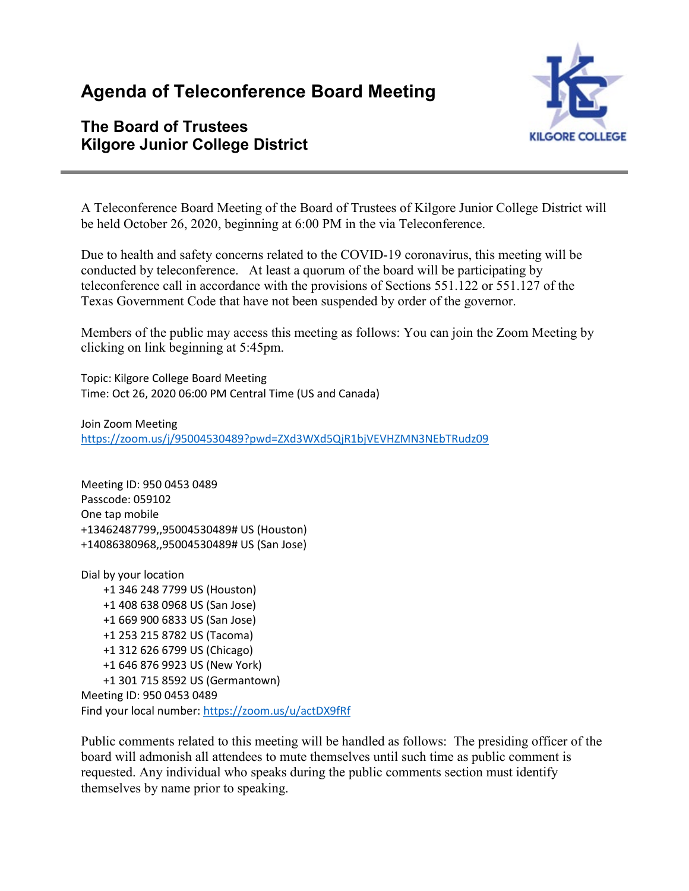## **Agenda of Teleconference Board Meeting**

## **The Board of Trustees Kilgore Junior College District**



A Teleconference Board Meeting of the Board of Trustees of Kilgore Junior College District will be held October 26, 2020, beginning at 6:00 PM in the via Teleconference.

Due to health and safety concerns related to the COVID-19 coronavirus, this meeting will be conducted by teleconference. At least a quorum of the board will be participating by teleconference call in accordance with the provisions of Sections 551.122 or 551.127 of the Texas Government Code that have not been suspended by order of the governor.

Members of the public may access this meeting as follows: You can join the Zoom Meeting by clicking on link beginning at 5:45pm.

Topic: Kilgore College Board Meeting Time: Oct 26, 2020 06:00 PM Central Time (US and Canada)

Join Zoom Meeting <https://zoom.us/j/95004530489?pwd=ZXd3WXd5QjR1bjVEVHZMN3NEbTRudz09>

Meeting ID: 950 0453 0489 Passcode: 059102 One tap mobile +13462487799,,95004530489# US (Houston) +14086380968,,95004530489# US (San Jose)

Dial by your location +1 346 248 7799 US (Houston) +1 408 638 0968 US (San Jose) +1 669 900 6833 US (San Jose) +1 253 215 8782 US (Tacoma) +1 312 626 6799 US (Chicago) +1 646 876 9923 US (New York) +1 301 715 8592 US (Germantown) Meeting ID: 950 0453 0489 Find your local number[: https://zoom.us/u/actDX9fRf](https://zoom.us/u/actDX9fRf)

Public comments related to this meeting will be handled as follows: The presiding officer of the board will admonish all attendees to mute themselves until such time as public comment is requested. Any individual who speaks during the public comments section must identify themselves by name prior to speaking.